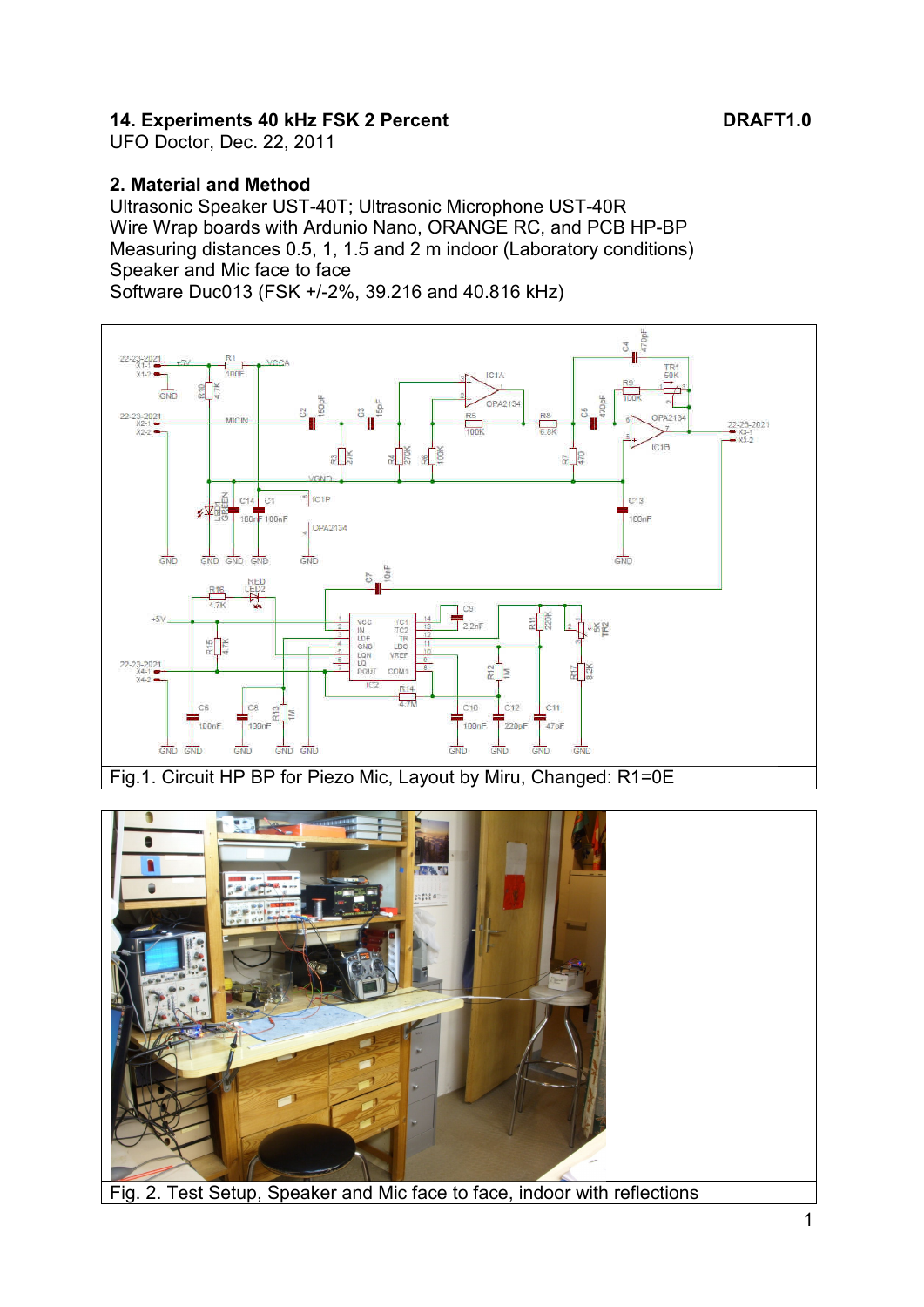# **14. Experiments 40 kHz FSK 2 Percent DRAFT1.0**

UFO Doctor, Dec. 22, 2011

#### **2. Material and Method**

Ultrasonic Speaker UST-40T; Ultrasonic Microphone UST-40R Wire Wrap boards with Ardunio Nano, ORANGE RC, and PCB HP-BP Measuring distances 0.5, 1, 1.5 and 2 m indoor (Laboratory conditions) Speaker and Mic face to face Software Duc013 (FSK +/-2%, 39.216 and 40.816 kHz)



Fig.1. Circuit HP BP for Piezo Mic, Layout by Miru, Changed: R1=0E

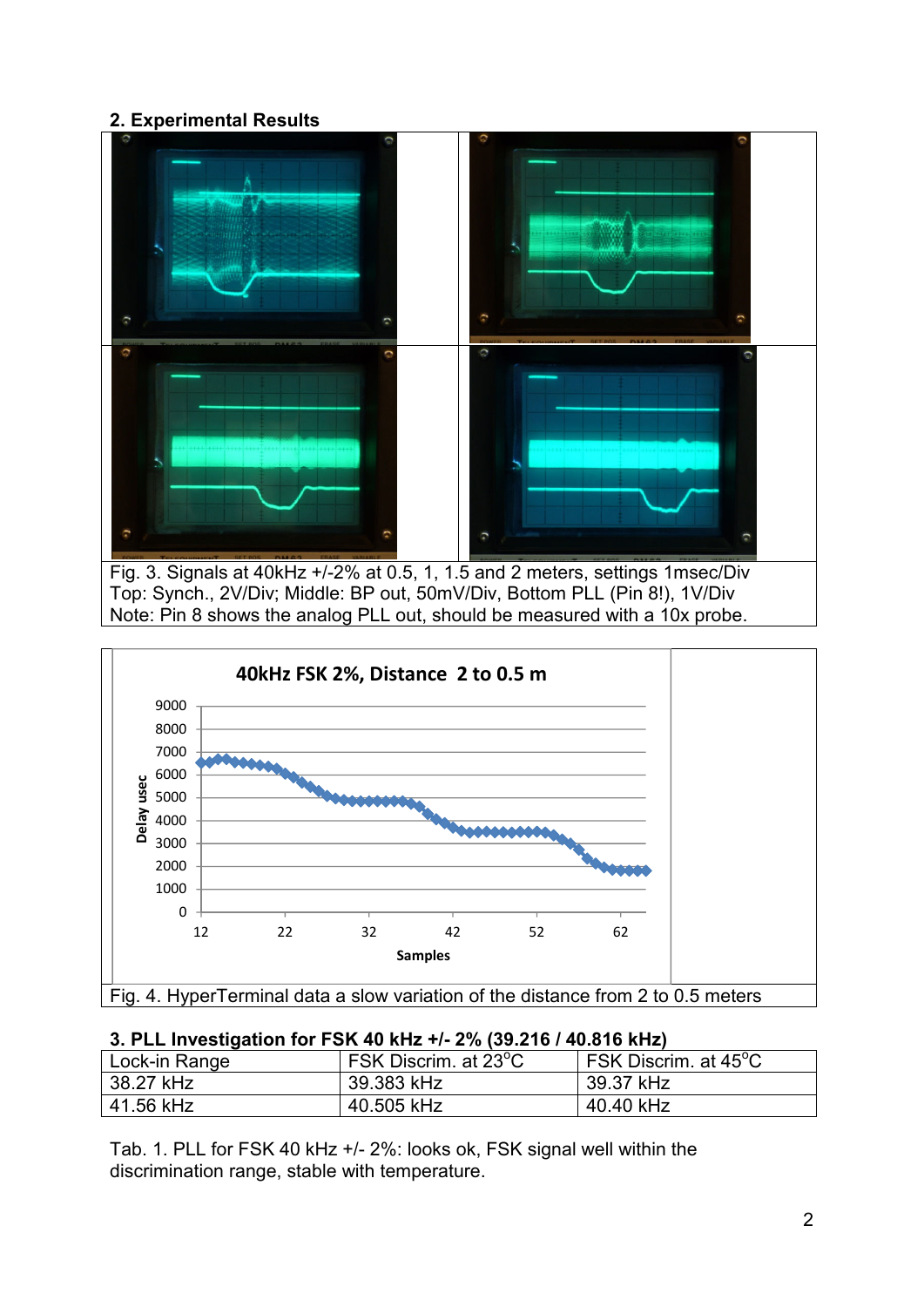# **2. Experimental Results**





| <b>0. I LE INVESTIGATION TO T ON TV NILE 17 L 10 (00.2 TV / TV.0 TV NILE)</b> |                                   |                                                      |
|-------------------------------------------------------------------------------|-----------------------------------|------------------------------------------------------|
| Lock-in Range                                                                 | FSK Discrim. at 23 <sup>°</sup> C | $^{\mathsf{I}}$ FSK Discrim. at 45°C $^{\mathsf{I}}$ |
| 38.27 kHz                                                                     | 39.383 kHz                        | 39.37 kHz                                            |
| 41.56 kHz                                                                     | 40.505 kHz                        | 40.40 kHz                                            |

#### **3. PLL Investigation for FSK 40 kHz +/- 2% (39.216 / 40.816 kHz)**

Tab. 1. PLL for FSK 40 kHz +/- 2%: looks ok, FSK signal well within the discrimination range, stable with temperature.